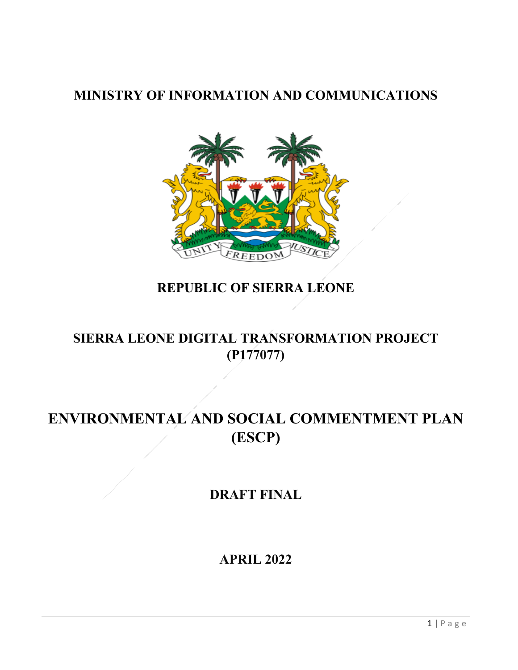## **MINISTRY OF INFORMATION AND COMMUNICATIONS**



## **REPUBLIC OF SIERRA LEONE**

## **SIERRA LEONE DIGITAL TRANSFORMATION PROJECT (P177077)**

# **ENVIRONMENTAL AND SOCIAL COMMENTMENT PLAN (ESCP)**

## **DRAFT FINAL**

**APRIL 2022**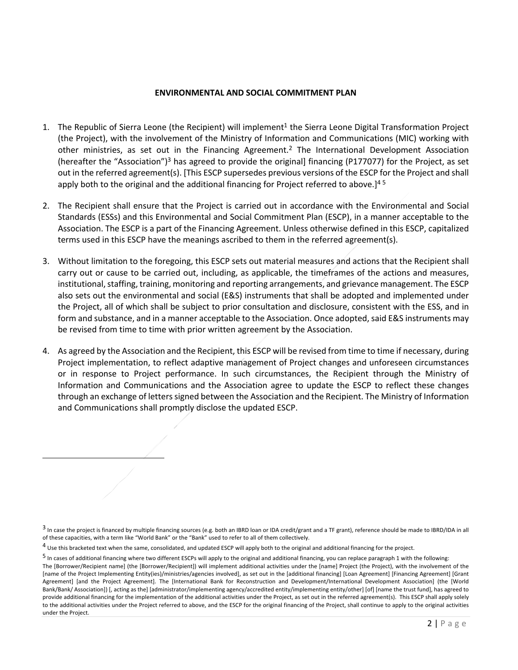#### **ENVIRONMENTAL AND SOCIAL COMMITMENT PLAN**

- 1. The Republic of Sierra Leone (the Recipient) will implement<sup>1</sup> the Sierra Leone Digital Transformation Project (the Project), with the involvement of the Ministry of Information and Communications (MIC) working with other ministries, as set out in the Financing Agreement.<sup>2</sup> The International Development Association (hereafter the "Association")3 has agreed to provide the original] financing (P177077) for the Project, as set out in the referred agreement(s). [This ESCP supersedes previous versions of the ESCP for the Project and shall apply both to the original and the additional financing for Project referred to above.]<sup>45</sup>
- 2. The Recipient shall ensure that the Project is carried out in accordance with the Environmental and Social Standards (ESSs) and this Environmental and Social Commitment Plan (ESCP), in a manner acceptable to the Association. The ESCP is a part of the Financing Agreement. Unless otherwise defined in this ESCP, capitalized terms used in this ESCP have the meanings ascribed to them in the referred agreement(s).
- 3. Without limitation to the foregoing, this ESCP sets out material measures and actions that the Recipient shall carry out or cause to be carried out, including, as applicable, the timeframes of the actions and measures, institutional, staffing, training, monitoring and reporting arrangements, and grievance management. The ESCP also sets out the environmental and social (E&S) instruments that shall be adopted and implemented under the Project, all of which shall be subject to prior consultation and disclosure, consistent with the ESS, and in form and substance, and in a manner acceptable to the Association. Once adopted, said E&S instruments may be revised from time to time with prior written agreement by the Association.
- 4. As agreed by the Association and the Recipient, this ESCP will be revised from time to time if necessary, during Project implementation, to reflect adaptive management of Project changes and unforeseen circumstances or in response to Project performance. In such circumstances, the Recipient through the Ministry of Information and Communications and the Association agree to update the ESCP to reflect these changes through an exchange of letters signed between the Association and the Recipient. The Ministry of Information and Communications shall promptly disclose the updated ESCP.

<sup>3</sup> In case the project is financed by multiple financing sources (e.g. both an IBRD loan or IDA credit/grant and a TF grant), reference should be made to IBRD/IDA in all of these capacities, with a term like "World Bank" or the "Bank" used to refer to all of them collectively.

 $4$  Use this bracketed text when the same, consolidated, and updated ESCP will apply both to the original and additional financing for the project.

<sup>5</sup> In cases of additional financing where two different ESCPs will apply to the original and additional financing, you can replace paragraph 1 with the following:

The [Borrower/Recipient name] (the [Borrower/Recipient]) will implement additional activities under the [name] Project (the Project), with the involvement of the [name of the Project Implementing Entity(ies)/ministries/agencies involved], as set out in the [additional financing] [Loan Agreement] [Financing Agreement] [Grant Agreement] [and the Project Agreement]. The [International Bank for Reconstruction and Development/International Development Association] (the [World Bank/Bank/ Association]) [, acting as the] [administrator/implementing agency/accredited entity/implementing entity/other] [of] [name the trust fund], has agreed to provide additional financing for the implementation of the additional activities under the Project, as set out in the referred agreement(s). This ESCP shall apply solely to the additional activities under the Project referred to above, and the ESCP for the original financing of the Project, shall continue to apply to the original activities under the Project.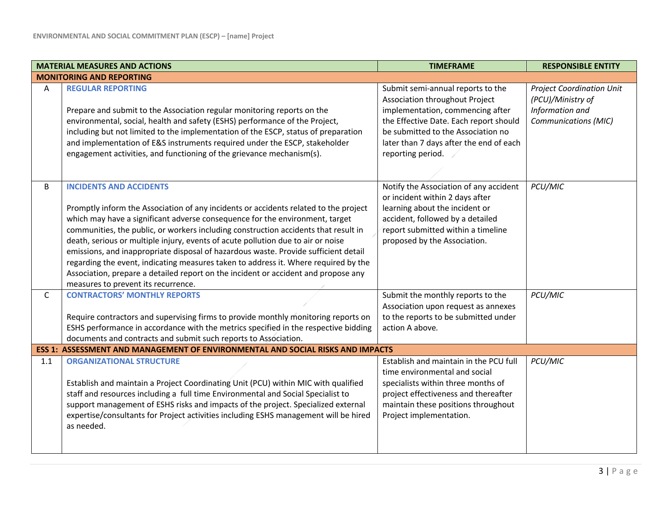|              | <b>MATERIAL MEASURES AND ACTIONS</b>                                                                                                                                                                                                                                                                                                                                                                                                                                                                                                                                                                                                                                                         | <b>TIMEFRAME</b>                                                                                                                                                                                                                                        | <b>RESPONSIBLE ENTITY</b>                                                                               |
|--------------|----------------------------------------------------------------------------------------------------------------------------------------------------------------------------------------------------------------------------------------------------------------------------------------------------------------------------------------------------------------------------------------------------------------------------------------------------------------------------------------------------------------------------------------------------------------------------------------------------------------------------------------------------------------------------------------------|---------------------------------------------------------------------------------------------------------------------------------------------------------------------------------------------------------------------------------------------------------|---------------------------------------------------------------------------------------------------------|
|              | <b>MONITORING AND REPORTING</b>                                                                                                                                                                                                                                                                                                                                                                                                                                                                                                                                                                                                                                                              |                                                                                                                                                                                                                                                         |                                                                                                         |
| A            | <b>REGULAR REPORTING</b><br>Prepare and submit to the Association regular monitoring reports on the<br>environmental, social, health and safety (ESHS) performance of the Project,<br>including but not limited to the implementation of the ESCP, status of preparation<br>and implementation of E&S instruments required under the ESCP, stakeholder<br>engagement activities, and functioning of the grievance mechanism(s).                                                                                                                                                                                                                                                              | Submit semi-annual reports to the<br>Association throughout Project<br>implementation, commencing after<br>the Effective Date. Each report should<br>be submitted to the Association no<br>later than 7 days after the end of each<br>reporting period. | <b>Project Coordination Unit</b><br>(PCU)/Ministry of<br>Information and<br><b>Communications (MIC)</b> |
| B            | <b>INCIDENTS AND ACCIDENTS</b><br>Promptly inform the Association of any incidents or accidents related to the project<br>which may have a significant adverse consequence for the environment, target<br>communities, the public, or workers including construction accidents that result in<br>death, serious or multiple injury, events of acute pollution due to air or noise<br>emissions, and inappropriate disposal of hazardous waste. Provide sufficient detail<br>regarding the event, indicating measures taken to address it. Where required by the<br>Association, prepare a detailed report on the incident or accident and propose any<br>measures to prevent its recurrence. | Notify the Association of any accident<br>or incident within 2 days after<br>learning about the incident or<br>accident, followed by a detailed<br>report submitted within a timeline<br>proposed by the Association.                                   | PCU/MIC                                                                                                 |
| $\mathsf{C}$ | <b>CONTRACTORS' MONTHLY REPORTS</b><br>Require contractors and supervising firms to provide monthly monitoring reports on<br>ESHS performance in accordance with the metrics specified in the respective bidding<br>documents and contracts and submit such reports to Association.                                                                                                                                                                                                                                                                                                                                                                                                          | Submit the monthly reports to the<br>Association upon request as annexes<br>to the reports to be submitted under<br>action A above.                                                                                                                     | PCU/MIC                                                                                                 |
|              | ESS 1: ASSESSMENT AND MANAGEMENT OF ENVIRONMENTAL AND SOCIAL RISKS AND IMPACTS                                                                                                                                                                                                                                                                                                                                                                                                                                                                                                                                                                                                               |                                                                                                                                                                                                                                                         |                                                                                                         |
| 1.1          | <b>ORGANIZATIONAL STRUCTURE</b><br>Establish and maintain a Project Coordinating Unit (PCU) within MIC with qualified<br>staff and resources including a full time Environmental and Social Specialist to<br>support management of ESHS risks and impacts of the project. Specialized external<br>expertise/consultants for Project activities including ESHS management will be hired<br>as needed.                                                                                                                                                                                                                                                                                         | Establish and maintain in the PCU full<br>time environmental and social<br>specialists within three months of<br>project effectiveness and thereafter<br>maintain these positions throughout<br>Project implementation.                                 | PCU/MIC                                                                                                 |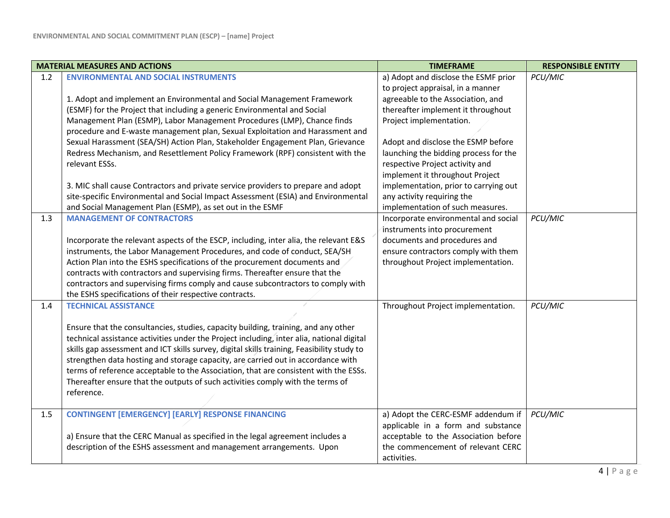|     | <b>MATERIAL MEASURES AND ACTIONS</b>                                                                                                                               | <b>TIMEFRAME</b>                                                          | <b>RESPONSIBLE ENTITY</b> |
|-----|--------------------------------------------------------------------------------------------------------------------------------------------------------------------|---------------------------------------------------------------------------|---------------------------|
| 1.2 | <b>ENVIRONMENTAL AND SOCIAL INSTRUMENTS</b>                                                                                                                        | a) Adopt and disclose the ESMF prior<br>to project appraisal, in a manner | PCU/MIC                   |
|     | 1. Adopt and implement an Environmental and Social Management Framework                                                                                            | agreeable to the Association, and                                         |                           |
|     | (ESMF) for the Project that including a generic Environmental and Social                                                                                           | thereafter implement it throughout                                        |                           |
|     | Management Plan (ESMP), Labor Management Procedures (LMP), Chance finds                                                                                            | Project implementation.                                                   |                           |
|     | procedure and E-waste management plan, Sexual Exploitation and Harassment and                                                                                      |                                                                           |                           |
|     | Sexual Harassment (SEA/SH) Action Plan, Stakeholder Engagement Plan, Grievance                                                                                     | Adopt and disclose the ESMP before                                        |                           |
|     | Redress Mechanism, and Resettlement Policy Framework (RPF) consistent with the                                                                                     | launching the bidding process for the                                     |                           |
|     | relevant ESSs.                                                                                                                                                     | respective Project activity and                                           |                           |
|     |                                                                                                                                                                    | implement it throughout Project                                           |                           |
|     | 3. MIC shall cause Contractors and private service providers to prepare and adopt                                                                                  | implementation, prior to carrying out                                     |                           |
|     | site-specific Environmental and Social Impact Assessment (ESIA) and Environmental                                                                                  | any activity requiring the                                                |                           |
|     | and Social Management Plan (ESMP), as set out in the ESMF                                                                                                          | implementation of such measures.                                          |                           |
| 1.3 | <b>MANAGEMENT OF CONTRACTORS</b>                                                                                                                                   | Incorporate environmental and social                                      | PCU/MIC                   |
|     |                                                                                                                                                                    | instruments into procurement                                              |                           |
|     | Incorporate the relevant aspects of the ESCP, including, inter alia, the relevant E&S<br>instruments, the Labor Management Procedures, and code of conduct, SEA/SH | documents and procedures and<br>ensure contractors comply with them       |                           |
|     | Action Plan into the ESHS specifications of the procurement documents and                                                                                          | throughout Project implementation.                                        |                           |
|     | contracts with contractors and supervising firms. Thereafter ensure that the                                                                                       |                                                                           |                           |
|     | contractors and supervising firms comply and cause subcontractors to comply with                                                                                   |                                                                           |                           |
|     | the ESHS specifications of their respective contracts.                                                                                                             |                                                                           |                           |
| 1.4 | <b>TECHNICAL ASSISTANCE</b>                                                                                                                                        | Throughout Project implementation.                                        | PCU/MIC                   |
|     |                                                                                                                                                                    |                                                                           |                           |
|     | Ensure that the consultancies, studies, capacity building, training, and any other                                                                                 |                                                                           |                           |
|     | technical assistance activities under the Project including, inter alia, national digital                                                                          |                                                                           |                           |
|     | skills gap assessment and ICT skills survey, digital skills training, Feasibility study to                                                                         |                                                                           |                           |
|     | strengthen data hosting and storage capacity, are carried out in accordance with                                                                                   |                                                                           |                           |
|     | terms of reference acceptable to the Association, that are consistent with the ESSs.                                                                               |                                                                           |                           |
|     | Thereafter ensure that the outputs of such activities comply with the terms of                                                                                     |                                                                           |                           |
|     | reference.                                                                                                                                                         |                                                                           |                           |
| 1.5 | <b>CONTINGENT [EMERGENCY] [EARLY] RESPONSE FINANCING</b>                                                                                                           | a) Adopt the CERC-ESMF addendum if                                        | PCU/MIC                   |
|     |                                                                                                                                                                    | applicable in a form and substance                                        |                           |
|     | a) Ensure that the CERC Manual as specified in the legal agreement includes a                                                                                      | acceptable to the Association before                                      |                           |
|     | description of the ESHS assessment and management arrangements. Upon                                                                                               | the commencement of relevant CERC                                         |                           |
|     |                                                                                                                                                                    | activities.                                                               |                           |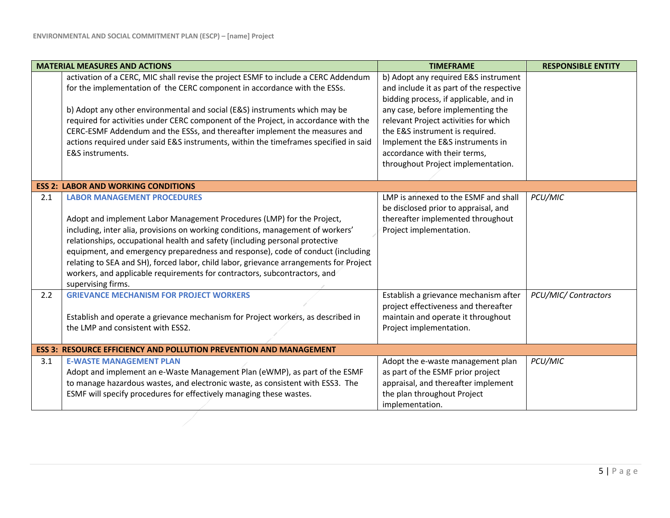|     | <b>MATERIAL MEASURES AND ACTIONS</b>                                                   | <b>TIMEFRAME</b>                         | <b>RESPONSIBLE ENTITY</b> |
|-----|----------------------------------------------------------------------------------------|------------------------------------------|---------------------------|
|     | activation of a CERC, MIC shall revise the project ESMF to include a CERC Addendum     | b) Adopt any required E&S instrument     |                           |
|     | for the implementation of the CERC component in accordance with the ESSs.              | and include it as part of the respective |                           |
|     |                                                                                        | bidding process, if applicable, and in   |                           |
|     | b) Adopt any other environmental and social (E&S) instruments which may be             | any case, before implementing the        |                           |
|     | required for activities under CERC component of the Project, in accordance with the    | relevant Project activities for which    |                           |
|     | CERC-ESMF Addendum and the ESSs, and thereafter implement the measures and             | the E&S instrument is required.          |                           |
|     | actions required under said E&S instruments, within the timeframes specified in said   | Implement the E&S instruments in         |                           |
|     | E&S instruments.                                                                       | accordance with their terms,             |                           |
|     |                                                                                        | throughout Project implementation.       |                           |
|     | <b>ESS 2: LABOR AND WORKING CONDITIONS</b>                                             |                                          |                           |
| 2.1 | <b>LABOR MANAGEMENT PROCEDURES</b>                                                     | LMP is annexed to the ESMF and shall     | PCU/MIC                   |
|     |                                                                                        | be disclosed prior to appraisal, and     |                           |
|     | Adopt and implement Labor Management Procedures (LMP) for the Project,                 | thereafter implemented throughout        |                           |
|     | including, inter alia, provisions on working conditions, management of workers'        | Project implementation.                  |                           |
|     | relationships, occupational health and safety (including personal protective           |                                          |                           |
|     | equipment, and emergency preparedness and response), code of conduct (including        |                                          |                           |
|     | relating to SEA and SH), forced labor, child labor, grievance arrangements for Project |                                          |                           |
|     | workers, and applicable requirements for contractors, subcontractors, and              |                                          |                           |
|     | supervising firms.                                                                     |                                          |                           |
| 2.2 | <b>GRIEVANCE MECHANISM FOR PROJECT WORKERS</b>                                         | Establish a grievance mechanism after    | PCU/MIC/ Contractors      |
|     |                                                                                        | project effectiveness and thereafter     |                           |
|     | Establish and operate a grievance mechanism for Project workers, as described in       | maintain and operate it throughout       |                           |
|     | the LMP and consistent with ESS2.                                                      | Project implementation.                  |                           |
|     | <b>ESS 3: RESOURCE EFFICIENCY AND POLLUTION PREVENTION AND MANAGEMENT</b>              |                                          |                           |
| 3.1 | <b>E-WASTE MANAGEMENT PLAN</b>                                                         | Adopt the e-waste management plan        | PCU/MIC                   |
|     | Adopt and implement an e-Waste Management Plan (eWMP), as part of the ESMF             | as part of the ESMF prior project        |                           |
|     | to manage hazardous wastes, and electronic waste, as consistent with ESS3. The         | appraisal, and thereafter implement      |                           |
|     | ESMF will specify procedures for effectively managing these wastes.                    | the plan throughout Project              |                           |
|     |                                                                                        | implementation.                          |                           |
|     |                                                                                        |                                          |                           |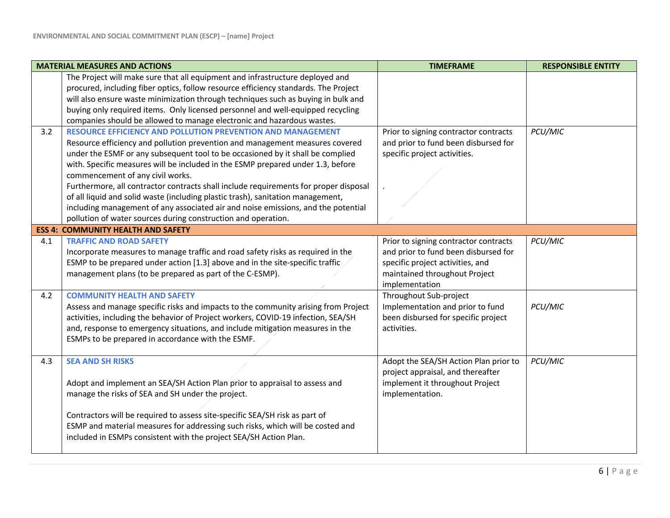|     | <b>MATERIAL MEASURES AND ACTIONS</b>                                                                                                                                                                                                                                                                                                                                                                                                                                                                                                                                                                                                                                                         | <b>TIMEFRAME</b>                                                                                                                                                     | <b>RESPONSIBLE ENTITY</b> |
|-----|----------------------------------------------------------------------------------------------------------------------------------------------------------------------------------------------------------------------------------------------------------------------------------------------------------------------------------------------------------------------------------------------------------------------------------------------------------------------------------------------------------------------------------------------------------------------------------------------------------------------------------------------------------------------------------------------|----------------------------------------------------------------------------------------------------------------------------------------------------------------------|---------------------------|
|     | The Project will make sure that all equipment and infrastructure deployed and<br>procured, including fiber optics, follow resource efficiency standards. The Project<br>will also ensure waste minimization through techniques such as buying in bulk and<br>buying only required items. Only licensed personnel and well-equipped recycling<br>companies should be allowed to manage electronic and hazardous wastes.                                                                                                                                                                                                                                                                       |                                                                                                                                                                      |                           |
| 3.2 | <b>RESOURCE EFFICIENCY AND POLLUTION PREVENTION AND MANAGEMENT</b><br>Resource efficiency and pollution prevention and management measures covered<br>under the ESMF or any subsequent tool to be occasioned by it shall be complied<br>with. Specific measures will be included in the ESMP prepared under 1.3, before<br>commencement of any civil works.<br>Furthermore, all contractor contracts shall include requirements for proper disposal<br>of all liquid and solid waste (including plastic trash), sanitation management,<br>including management of any associated air and noise emissions, and the potential<br>pollution of water sources during construction and operation. | Prior to signing contractor contracts<br>and prior to fund been disbursed for<br>specific project activities.                                                        | PCU/MIC                   |
|     | <b>ESS 4: COMMUNITY HEALTH AND SAFETY</b>                                                                                                                                                                                                                                                                                                                                                                                                                                                                                                                                                                                                                                                    |                                                                                                                                                                      |                           |
| 4.1 | <b>TRAFFIC AND ROAD SAFETY</b><br>Incorporate measures to manage traffic and road safety risks as required in the<br>ESMP to be prepared under action [1.3] above and in the site-specific traffic<br>management plans (to be prepared as part of the C-ESMP).                                                                                                                                                                                                                                                                                                                                                                                                                               | Prior to signing contractor contracts<br>and prior to fund been disbursed for<br>specific project activities, and<br>maintained throughout Project<br>implementation | PCU/MIC                   |
| 4.2 | <b>COMMUNITY HEALTH AND SAFETY</b><br>Assess and manage specific risks and impacts to the community arising from Project<br>activities, including the behavior of Project workers, COVID-19 infection, SEA/SH<br>and, response to emergency situations, and include mitigation measures in the<br>ESMPs to be prepared in accordance with the ESMF.                                                                                                                                                                                                                                                                                                                                          | Throughout Sub-project<br>Implementation and prior to fund<br>been disbursed for specific project<br>activities.                                                     | PCU/MIC                   |
| 4.3 | <b>SEA AND SH RISKS</b><br>Adopt and implement an SEA/SH Action Plan prior to appraisal to assess and<br>manage the risks of SEA and SH under the project.<br>Contractors will be required to assess site-specific SEA/SH risk as part of<br>ESMP and material measures for addressing such risks, which will be costed and<br>included in ESMPs consistent with the project SEA/SH Action Plan.                                                                                                                                                                                                                                                                                             | Adopt the SEA/SH Action Plan prior to<br>project appraisal, and thereafter<br>implement it throughout Project<br>implementation.                                     | PCU/MIC                   |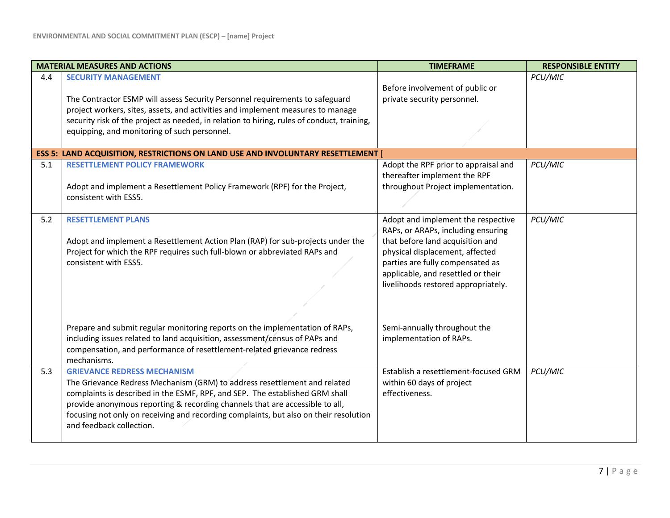|     | <b>MATERIAL MEASURES AND ACTIONS</b>                                                                                                                                                                                                                                                                                                                                                                 | <b>TIMEFRAME</b>                                                                                                                                                                                                                                                 | <b>RESPONSIBLE ENTITY</b> |
|-----|------------------------------------------------------------------------------------------------------------------------------------------------------------------------------------------------------------------------------------------------------------------------------------------------------------------------------------------------------------------------------------------------------|------------------------------------------------------------------------------------------------------------------------------------------------------------------------------------------------------------------------------------------------------------------|---------------------------|
| 4.4 | <b>SECURITY MANAGEMENT</b><br>The Contractor ESMP will assess Security Personnel requirements to safeguard<br>project workers, sites, assets, and activities and implement measures to manage<br>security risk of the project as needed, in relation to hiring, rules of conduct, training,<br>equipping, and monitoring of such personnel.                                                          | Before involvement of public or<br>private security personnel.                                                                                                                                                                                                   | PCU/MIC                   |
|     | <b>ESS 5: LAND ACQUISITION, RESTRICTIONS ON LAND USE AND INVOLUNTARY RESETTLEMENT</b>                                                                                                                                                                                                                                                                                                                |                                                                                                                                                                                                                                                                  |                           |
| 5.1 | <b>RESETTLEMENT POLICY FRAMEWORK</b><br>Adopt and implement a Resettlement Policy Framework (RPF) for the Project,<br>consistent with ESS5.                                                                                                                                                                                                                                                          | Adopt the RPF prior to appraisal and<br>thereafter implement the RPF<br>throughout Project implementation.                                                                                                                                                       | PCU/MIC                   |
| 5.2 | <b>RESETTLEMENT PLANS</b><br>Adopt and implement a Resettlement Action Plan (RAP) for sub-projects under the<br>Project for which the RPF requires such full-blown or abbreviated RAPs and<br>consistent with ESS5.                                                                                                                                                                                  | Adopt and implement the respective<br>RAPs, or ARAPs, including ensuring<br>that before land acquisition and<br>physical displacement, affected<br>parties are fully compensated as<br>applicable, and resettled or their<br>livelihoods restored appropriately. | PCU/MIC                   |
|     | Prepare and submit regular monitoring reports on the implementation of RAPs,<br>including issues related to land acquisition, assessment/census of PAPs and<br>compensation, and performance of resettlement-related grievance redress<br>mechanisms.                                                                                                                                                | Semi-annually throughout the<br>implementation of RAPs.                                                                                                                                                                                                          |                           |
| 5.3 | <b>GRIEVANCE REDRESS MECHANISM</b><br>The Grievance Redress Mechanism (GRM) to address resettlement and related<br>complaints is described in the ESMF, RPF, and SEP. The established GRM shall<br>provide anonymous reporting & recording channels that are accessible to all,<br>focusing not only on receiving and recording complaints, but also on their resolution<br>and feedback collection. | Establish a resettlement-focused GRM<br>within 60 days of project<br>effectiveness.                                                                                                                                                                              | PCU/MIC                   |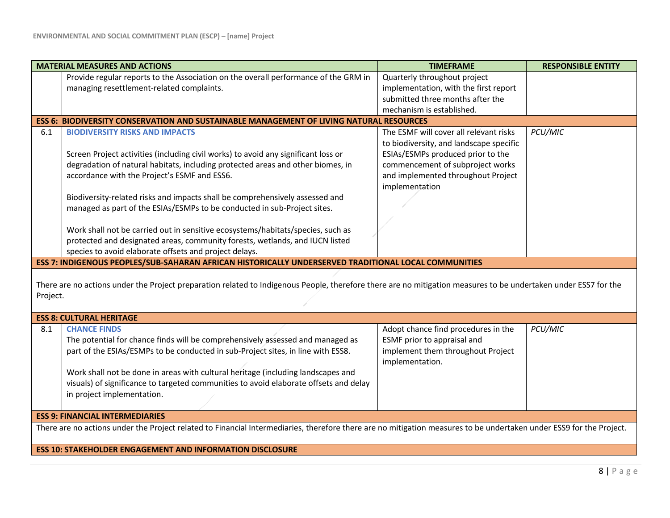|                                                                                                                                                                             | <b>MATERIAL MEASURES AND ACTIONS</b>                                                                 | <b>TIMEFRAME</b>                                     | <b>RESPONSIBLE ENTITY</b> |
|-----------------------------------------------------------------------------------------------------------------------------------------------------------------------------|------------------------------------------------------------------------------------------------------|------------------------------------------------------|---------------------------|
|                                                                                                                                                                             | Provide regular reports to the Association on the overall performance of the GRM in                  | Quarterly throughout project                         |                           |
|                                                                                                                                                                             | managing resettlement-related complaints.                                                            | implementation, with the first report                |                           |
|                                                                                                                                                                             |                                                                                                      | submitted three months after the                     |                           |
|                                                                                                                                                                             |                                                                                                      | mechanism is established.                            |                           |
|                                                                                                                                                                             | <b>ESS 6: BIODIVERSITY CONSERVATION AND SUSTAINABLE MANAGEMENT OF LIVING NATURAL RESOURCES</b>       |                                                      |                           |
| 6.1                                                                                                                                                                         | <b>BIODIVERSITY RISKS AND IMPACTS</b>                                                                | The ESMF will cover all relevant risks               | PCU/MIC                   |
|                                                                                                                                                                             |                                                                                                      | to biodiversity, and landscape specific              |                           |
|                                                                                                                                                                             | Screen Project activities (including civil works) to avoid any significant loss or                   | ESIAs/ESMPs produced prior to the                    |                           |
|                                                                                                                                                                             | degradation of natural habitats, including protected areas and other biomes, in                      | commencement of subproject works                     |                           |
|                                                                                                                                                                             | accordance with the Project's ESMF and ESS6.                                                         | and implemented throughout Project                   |                           |
|                                                                                                                                                                             |                                                                                                      | implementation                                       |                           |
|                                                                                                                                                                             | Biodiversity-related risks and impacts shall be comprehensively assessed and                         |                                                      |                           |
|                                                                                                                                                                             | managed as part of the ESIAs/ESMPs to be conducted in sub-Project sites.                             |                                                      |                           |
|                                                                                                                                                                             |                                                                                                      |                                                      |                           |
|                                                                                                                                                                             | Work shall not be carried out in sensitive ecosystems/habitats/species, such as                      |                                                      |                           |
|                                                                                                                                                                             | protected and designated areas, community forests, wetlands, and IUCN listed                         |                                                      |                           |
|                                                                                                                                                                             | species to avoid elaborate offsets and project delays.                                               |                                                      |                           |
|                                                                                                                                                                             | ESS 7: INDIGENOUS PEOPLES/SUB-SAHARAN AFRICAN HISTORICALLY UNDERSERVED TRADITIONAL LOCAL COMMUNITIES |                                                      |                           |
| There are no actions under the Project preparation related to Indigenous People, therefore there are no mitigation measures to be undertaken under ESS7 for the<br>Project. |                                                                                                      |                                                      |                           |
|                                                                                                                                                                             | <b>ESS 8: CULTURAL HERITAGE</b>                                                                      |                                                      |                           |
| 8.1                                                                                                                                                                         | <b>CHANCE FINDS</b>                                                                                  | Adopt chance find procedures in the                  | PCU/MIC                   |
|                                                                                                                                                                             | The potential for chance finds will be comprehensively assessed and managed as                       | ESMF prior to appraisal and                          |                           |
|                                                                                                                                                                             | part of the ESIAs/ESMPs to be conducted in sub-Project sites, in line with ESS8.                     | implement them throughout Project<br>implementation. |                           |
|                                                                                                                                                                             | Work shall not be done in areas with cultural heritage (including landscapes and                     |                                                      |                           |
|                                                                                                                                                                             | visuals) of significance to targeted communities to avoid elaborate offsets and delay                |                                                      |                           |
|                                                                                                                                                                             | in project implementation.                                                                           |                                                      |                           |
|                                                                                                                                                                             |                                                                                                      |                                                      |                           |
| <b>ESS 9: FINANCIAL INTERMEDIARIES</b>                                                                                                                                      |                                                                                                      |                                                      |                           |
| There are no actions under the Project related to Financial Intermediaries, therefore there are no mitigation measures to be undertaken under ESS9 for the Project.         |                                                                                                      |                                                      |                           |
|                                                                                                                                                                             |                                                                                                      |                                                      |                           |
|                                                                                                                                                                             |                                                                                                      |                                                      |                           |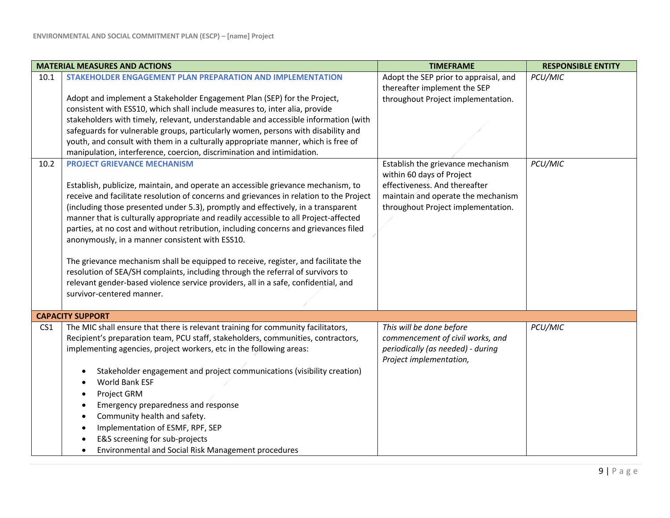|                 | <b>MATERIAL MEASURES AND ACTIONS</b>                                                                                                                                                                                                                                                     | <b>TIMEFRAME</b>                                                                                                             | <b>RESPONSIBLE ENTITY</b> |
|-----------------|------------------------------------------------------------------------------------------------------------------------------------------------------------------------------------------------------------------------------------------------------------------------------------------|------------------------------------------------------------------------------------------------------------------------------|---------------------------|
| 10.1            | STAKEHOLDER ENGAGEMENT PLAN PREPARATION AND IMPLEMENTATION                                                                                                                                                                                                                               | Adopt the SEP prior to appraisal, and<br>thereafter implement the SEP                                                        | PCU/MIC                   |
|                 | Adopt and implement a Stakeholder Engagement Plan (SEP) for the Project,                                                                                                                                                                                                                 | throughout Project implementation.                                                                                           |                           |
|                 | consistent with ESS10, which shall include measures to, inter alia, provide                                                                                                                                                                                                              |                                                                                                                              |                           |
|                 | stakeholders with timely, relevant, understandable and accessible information (with                                                                                                                                                                                                      |                                                                                                                              |                           |
|                 | safeguards for vulnerable groups, particularly women, persons with disability and                                                                                                                                                                                                        |                                                                                                                              |                           |
|                 | youth, and consult with them in a culturally appropriate manner, which is free of                                                                                                                                                                                                        |                                                                                                                              |                           |
|                 | manipulation, interference, coercion, discrimination and intimidation.                                                                                                                                                                                                                   |                                                                                                                              |                           |
| 10.2            | <b>PROJECT GRIEVANCE MECHANISM</b>                                                                                                                                                                                                                                                       | Establish the grievance mechanism<br>within 60 days of Project                                                               | PCU/MIC                   |
|                 | Establish, publicize, maintain, and operate an accessible grievance mechanism, to                                                                                                                                                                                                        | effectiveness. And thereafter                                                                                                |                           |
|                 | receive and facilitate resolution of concerns and grievances in relation to the Project                                                                                                                                                                                                  | maintain and operate the mechanism                                                                                           |                           |
|                 | (including those presented under 5.3), promptly and effectively, in a transparent                                                                                                                                                                                                        | throughout Project implementation.                                                                                           |                           |
|                 | manner that is culturally appropriate and readily accessible to all Project-affected                                                                                                                                                                                                     |                                                                                                                              |                           |
|                 | parties, at no cost and without retribution, including concerns and grievances filed                                                                                                                                                                                                     |                                                                                                                              |                           |
|                 | anonymously, in a manner consistent with ESS10.                                                                                                                                                                                                                                          |                                                                                                                              |                           |
|                 | The grievance mechanism shall be equipped to receive, register, and facilitate the<br>resolution of SEA/SH complaints, including through the referral of survivors to<br>relevant gender-based violence service providers, all in a safe, confidential, and<br>survivor-centered manner. |                                                                                                                              |                           |
|                 | <b>CAPACITY SUPPORT</b>                                                                                                                                                                                                                                                                  |                                                                                                                              |                           |
| CS <sub>1</sub> | The MIC shall ensure that there is relevant training for community facilitators,<br>Recipient's preparation team, PCU staff, stakeholders, communities, contractors,<br>implementing agencies, project workers, etc in the following areas:                                              | This will be done before<br>commencement of civil works, and<br>periodically (as needed) - during<br>Project implementation, | PCU/MIC                   |
|                 | Stakeholder engagement and project communications (visibility creation)<br>٠                                                                                                                                                                                                             |                                                                                                                              |                           |
|                 | World Bank ESF                                                                                                                                                                                                                                                                           |                                                                                                                              |                           |
|                 | Project GRM<br>٠                                                                                                                                                                                                                                                                         |                                                                                                                              |                           |
|                 | Emergency preparedness and response<br>٠                                                                                                                                                                                                                                                 |                                                                                                                              |                           |
|                 | Community health and safety.<br>٠                                                                                                                                                                                                                                                        |                                                                                                                              |                           |
|                 | Implementation of ESMF, RPF, SEP<br>٠                                                                                                                                                                                                                                                    |                                                                                                                              |                           |
|                 | E&S screening for sub-projects<br>٠                                                                                                                                                                                                                                                      |                                                                                                                              |                           |
|                 | Environmental and Social Risk Management procedures<br>$\bullet$                                                                                                                                                                                                                         |                                                                                                                              |                           |